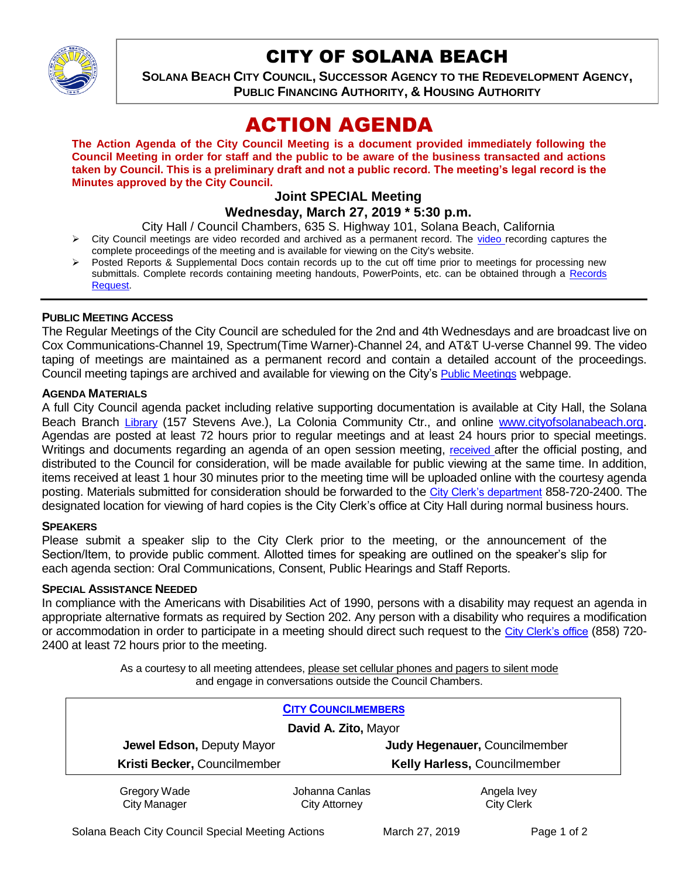

## CITY OF SOLANA BEACH

**SOLANA BEACH CITY COUNCIL, SUCCESSOR AGENCY TO THE REDEVELOPMENT AGENCY, PUBLIC FINANCING AUTHORITY, & HOUSING AUTHORITY** 

# ACTION AGENDA

**The Action Agenda of the City Council Meeting is a document provided immediately following the Council Meeting in order for staff and the public to be aware of the business transacted and actions taken by Council. This is a preliminary draft and not a public record. The meeting's legal record is the Minutes approved by the City Council.**

## **Joint SPECIAL Meeting**

#### **Wednesday, March 27, 2019 \* 5:30 p.m.**

City Hall / Council Chambers, 635 S. Highway 101, Solana Beach, California

- $\triangleright$  City Council meetings are [video r](https://solanabeach.12milesout.com/#page=1)ecorded and archived as a permanent record. The video recording captures the complete proceedings of the meeting and is available for viewing on the City's website.
- Posted Reports & Supplemental Docs contain records up to the cut off time prior to meetings for processing new submittals. Complete records containing meeting handouts, PowerPoints, etc. can be obtained through a Records [Request.](http://www.ci.solana-beach.ca.us/index.asp?SEC=F5D45D10-70CE-4291-A27C-7BD633FC6742&Type=B_BASIC)

#### **PUBLIC MEETING ACCESS**

The Regular Meetings of the City Council are scheduled for the 2nd and 4th Wednesdays and are broadcast live on Cox Communications-Channel 19, Spectrum(Time Warner)-Channel 24, and AT&T U-verse Channel 99. The video taping of meetings are maintained as a permanent record and contain a detailed account of the proceedings. Council meeting tapings are archived and available for viewing on the City's [Public Meetings](https://www.ci.solana-beach.ca.us/index.asp?SEC=F0F1200D-21C6-4A88-8AE1-0BC07C1A81A7&Type=B_BASIC) webpage.

#### **AGENDA MATERIALS**

A full City Council agenda packet including relative supporting documentation is available at City Hall, the Solana Beach Branch [Library](http://www.sdcl.org/locations_SB.html) (157 Stevens Ave.), La Colonia Community Ctr., and online [www.cityofsolanabeach.org.](http://www.cityofsolanabeach.org/) Agendas are posted at least 72 hours prior to regular meetings and at least 24 hours prior to special meetings. Writings and documents regarding an agenda of an open session meeting, [received](mailto:EMAILGRP-CityClerksOfc@cosb.org) after the official posting, and distributed to the Council for consideration, will be made available for public viewing at the same time. In addition, items received at least 1 hour 30 minutes prior to the meeting time will be uploaded online with the courtesy agenda posting. Materials submitted for consideration should be forwarded to the [City Clerk's department](mailto:EMAILGRP-CityClerksOfc@cosb.org) 858-720-2400. The designated location for viewing of hard copies is the City Clerk's office at City Hall during normal business hours.

#### **SPEAKERS**

Please submit a speaker slip to the City Clerk prior to the meeting, or the announcement of the Section/Item, to provide public comment. Allotted times for speaking are outlined on the speaker's slip for each agenda section: Oral Communications, Consent, Public Hearings and Staff Reports.

#### **SPECIAL ASSISTANCE NEEDED**

In compliance with the Americans with Disabilities Act of 1990, persons with a disability may request an agenda in appropriate alternative formats as required by Section 202. Any person with a disability who requires a modification or accommodation in order to participate in a meeting should direct such request to the [City Clerk's office](mailto:clerkadmin@cosb.org?subject=City%20Clerk%20Notice%20of%20Special%20Services%20Needed) (858) 720- 2400 at least 72 hours prior to the meeting.

> As a courtesy to all meeting attendees, please set cellular phones and pagers to silent mode and engage in conversations outside the Council Chambers.

|                              | <b>CITY COUNCILMEMBERS</b>    |                              |  |
|------------------------------|-------------------------------|------------------------------|--|
| David A. Zito, Mayor         |                               |                              |  |
| Jewel Edson, Deputy Mayor    | Judy Hegenauer, Councilmember |                              |  |
| Kristi Becker, Councilmember |                               | Kelly Harless, Councilmember |  |
| Gregory Wade                 | Johanna Canlas                | Angela Ivey                  |  |
| <b>City Manager</b>          | City Attorney                 | <b>City Clerk</b>            |  |